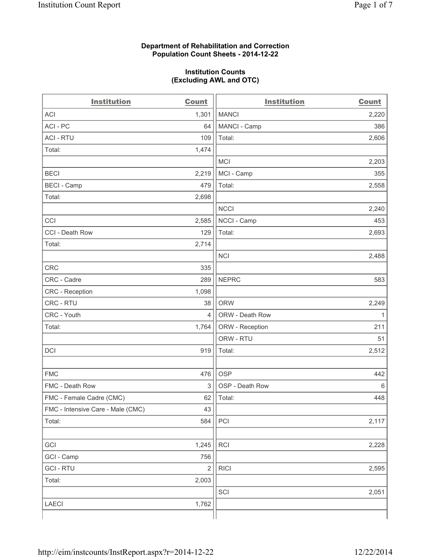### **Department of Rehabilitation and Correction Population Count Sheets - 2014-12-22**

#### **Institution Counts (Excluding AWL and OTC)**

| <b>Institution</b>                | <b>Count</b>   | <b>Institution</b> | <b>Count</b> |
|-----------------------------------|----------------|--------------------|--------------|
| <b>ACI</b>                        | 1,301          | <b>MANCI</b>       | 2,220        |
| ACI-PC                            | 64             | MANCI - Camp       | 386          |
| <b>ACI - RTU</b>                  | 109            | Total:             | 2,606        |
| Total:                            | 1,474          |                    |              |
|                                   |                | <b>MCI</b>         | 2,203        |
| <b>BECI</b>                       | 2,219          | MCI - Camp         | 355          |
| <b>BECI - Camp</b>                | 479            | Total:             | 2,558        |
| Total:                            | 2,698          |                    |              |
|                                   |                | <b>NCCI</b>        | 2,240        |
| CCI                               | 2,585          | NCCI - Camp        | 453          |
| CCI - Death Row                   | 129            | Total:             | 2,693        |
| Total:                            | 2,714          |                    |              |
|                                   |                | <b>NCI</b>         | 2,488        |
| <b>CRC</b>                        | 335            |                    |              |
| CRC - Cadre                       | 289            | <b>NEPRC</b>       | 583          |
| CRC - Reception                   | 1,098          |                    |              |
| CRC - RTU                         | 38             | <b>ORW</b>         | 2,249        |
| CRC - Youth                       | 4              | ORW - Death Row    | 1            |
| Total:                            | 1,764          | ORW - Reception    | 211          |
|                                   |                | ORW - RTU          | 51           |
| DCI                               | 919            | Total:             | 2,512        |
|                                   |                |                    |              |
| <b>FMC</b>                        | 476            | <b>OSP</b>         | 442          |
| FMC - Death Row                   | 3              | OSP - Death Row    | 6            |
| FMC - Female Cadre (CMC)          | 62             | Total:             | 448          |
| FMC - Intensive Care - Male (CMC) | 43             |                    |              |
| Total:                            | 584            | PCI                | 2,117        |
|                                   |                |                    |              |
| GCI                               | 1,245          | RCI                | 2,228        |
| GCI - Camp                        | 756            |                    |              |
| <b>GCI-RTU</b>                    | $\overline{2}$ | <b>RICI</b>        | 2,595        |
| Total:                            | 2,003          |                    |              |
|                                   |                | SCI                | 2,051        |
| LAECI                             | 1,762          |                    |              |
|                                   |                |                    |              |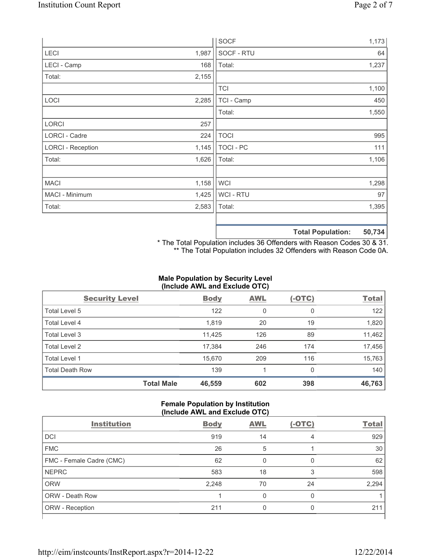|                          |       | <b>SOCF</b>      | 1,173                                           |
|--------------------------|-------|------------------|-------------------------------------------------|
| <b>LECI</b>              | 1,987 | SOCF - RTU       | 64                                              |
| LECI - Camp              | 168   | Total:           | 1,237                                           |
| Total:                   | 2,155 |                  |                                                 |
|                          |       | <b>TCI</b>       | 1,100                                           |
| LOCI                     | 2,285 | TCI - Camp       | 450                                             |
|                          |       | Total:           | 1,550                                           |
| <b>LORCI</b>             | 257   |                  |                                                 |
| LORCI - Cadre            | 224   | <b>TOCI</b>      | 995                                             |
| <b>LORCI - Reception</b> | 1,145 | <b>TOCI - PC</b> | 111                                             |
| Total:                   | 1,626 | Total:           | 1,106                                           |
|                          |       |                  |                                                 |
| <b>MACI</b>              | 1,158 | <b>WCI</b>       | 1,298                                           |
| MACI - Minimum           | 1,425 | WCI - RTU        | 97                                              |
| Total:                   | 2,583 | Total:           | 1,395                                           |
|                          |       |                  |                                                 |
|                          |       |                  | $P^{\wedge}$ $P^{\wedge}$<br>天下 ちょうし あいしょうしょうしん |

**Total Population: 50,734**

\* The Total Population includes 36 Offenders with Reason Codes 30 & 31. \*\* The Total Population includes 32 Offenders with Reason Code 0A.

## **Male Population by Security Level (Include AWL and Exclude OTC)**

| <b>Security Level</b>  |                   | <b>Body</b> | <b>AWL</b> | $(-OTC)$ | <b>Total</b> |
|------------------------|-------------------|-------------|------------|----------|--------------|
| Total Level 5          |                   | 122         | 0          | 0        | 122          |
| Total Level 4          |                   | 1,819       | 20         | 19       | 1,820        |
| Total Level 3          |                   | 11,425      | 126        | 89       | 11,462       |
| Total Level 2          |                   | 17,384      | 246        | 174      | 17,456       |
| Total Level 1          |                   | 15,670      | 209        | 116      | 15,763       |
| <b>Total Death Row</b> |                   | 139         |            | $\Omega$ | 140          |
|                        | <b>Total Male</b> | 46,559      | 602        | 398      | 46,763       |

#### **Female Population by Institution (Include AWL and Exclude OTC)**

| <b>Institution</b>       | <b>Body</b> | <b>AWL</b> | $(-OTC)$ | <b>Total</b> |
|--------------------------|-------------|------------|----------|--------------|
| <b>DCI</b>               | 919         | 14         | 4        | 929          |
| <b>FMC</b>               | 26          | 5          |          | 30           |
| FMC - Female Cadre (CMC) | 62          | 0          | 0        | 62           |
| <b>NEPRC</b>             | 583         | 18         | 3        | 598          |
| <b>ORW</b>               | 2,248       | 70         | 24       | 2,294        |
| <b>ORW - Death Row</b>   |             | U          | $\Omega$ |              |
| ORW - Reception          | 211         |            | 0        | 211          |
|                          |             |            |          |              |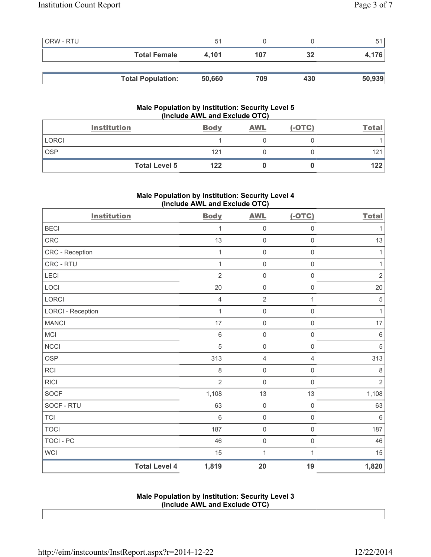| <b>ORW - RTU</b> |                          | 51     |     |     |        |
|------------------|--------------------------|--------|-----|-----|--------|
|                  | <b>Total Female</b>      | 4.101  | 107 | 32  | 4,176  |
|                  |                          |        |     |     |        |
|                  | <b>Total Population:</b> | 50,660 | 709 | 430 | 50,939 |

## **Male Population by Institution: Security Level 5 (Include AWL and Exclude OTC)**

|            | <b>Institution</b>   | <b>Body</b> | <b>AWL</b> | $(-OTC)$ | <b>Total</b> |
|------------|----------------------|-------------|------------|----------|--------------|
| LORCI      |                      |             |            |          |              |
| <b>OSP</b> |                      | 121         |            |          | 121          |
|            | <b>Total Level 5</b> | 122         |            |          | 122          |

# **Male Population by Institution: Security Level 4 (Include AWL and Exclude OTC)**

| <b>Institution</b>       |                      | <b>Body</b>    | <b>AWL</b>          | $(-OTC)$            | <b>Total</b>   |
|--------------------------|----------------------|----------------|---------------------|---------------------|----------------|
| <b>BECI</b>              |                      | 1              | $\mathsf{O}\xspace$ | $\mathsf 0$         | $\mathbf{1}$   |
| CRC                      |                      | 13             | $\mathsf{O}\xspace$ | $\mathsf{O}\xspace$ | 13             |
| CRC - Reception          |                      | 1              | $\mathsf{O}\xspace$ | $\mathsf{O}\xspace$ | 1              |
| CRC - RTU                |                      | $\mathbf{1}$   | $\mathsf{O}\xspace$ | $\mathsf{O}\xspace$ | $\mathbf{1}$   |
| LECI                     |                      | $\overline{2}$ | $\mathsf{O}\xspace$ | $\mathsf{O}\xspace$ | $\sqrt{2}$     |
| LOCI                     |                      | 20             | $\mathsf{O}\xspace$ | $\mathsf{O}\xspace$ | 20             |
| <b>LORCI</b>             |                      | $\overline{4}$ | $\overline{2}$      | $\mathbf{1}$        | $\sqrt{5}$     |
| <b>LORCI - Reception</b> |                      | $\mathbf{1}$   | $\mathsf{O}\xspace$ | $\mathsf{O}\xspace$ | $\mathbf{1}$   |
| <b>MANCI</b>             |                      | 17             | $\mathsf{O}\xspace$ | $\mathsf{O}\xspace$ | 17             |
| <b>MCI</b>               |                      | $\,6\,$        | $\mathsf{O}\xspace$ | $\mathsf 0$         | $\,6\,$        |
| <b>NCCI</b>              |                      | 5              | $\mathsf{O}\xspace$ | $\mathsf{O}\xspace$ | $\sqrt{5}$     |
| <b>OSP</b>               |                      | 313            | $\overline{4}$      | 4                   | 313            |
| <b>RCI</b>               |                      | 8              | $\mathsf{O}\xspace$ | $\mathsf 0$         | $\,8\,$        |
| <b>RICI</b>              |                      | $\overline{2}$ | $\mathsf{O}\xspace$ | $\mathbf 0$         | $\overline{2}$ |
| <b>SOCF</b>              |                      | 1,108          | 13                  | 13                  | 1,108          |
| SOCF - RTU               |                      | 63             | $\pmb{0}$           | $\mathsf 0$         | 63             |
| <b>TCI</b>               |                      | $6\phantom{1}$ | $\mathsf{O}\xspace$ | $\mathsf{O}\xspace$ | $\,6\,$        |
| <b>TOCI</b>              |                      | 187            | $\mathsf{O}\xspace$ | $\mathsf{O}\xspace$ | 187            |
| TOCI - PC                |                      | 46             | $\mathsf{O}\xspace$ | $\mathsf 0$         | 46             |
| <b>WCI</b>               |                      | 15             | $\mathbf{1}$        | 1                   | 15             |
|                          | <b>Total Level 4</b> | 1,819          | 20                  | 19                  | 1,820          |

## **Male Population by Institution: Security Level 3 (Include AWL and Exclude OTC)**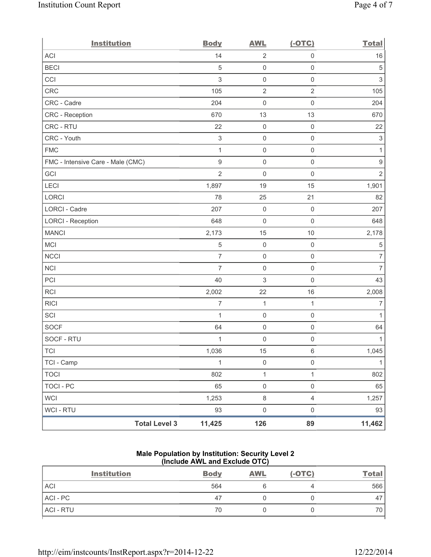| <b>Institution</b>                | <b>Body</b>               | <b>AWL</b>          | $(-OTC)$            | <b>Total</b>   |
|-----------------------------------|---------------------------|---------------------|---------------------|----------------|
| <b>ACI</b>                        | 14                        | $\mathbf 2$         | $\mathsf{O}\xspace$ | 16             |
| <b>BECI</b>                       | 5                         | $\mathsf{O}\xspace$ | $\mathsf{O}\xspace$ | $\,$ 5 $\,$    |
| CCI                               | 3                         | $\mathsf{O}\xspace$ | $\mathsf 0$         | $\mathfrak{S}$ |
| CRC                               | 105                       | $\sqrt{2}$          | $\overline{2}$      | 105            |
| CRC - Cadre                       | 204                       | $\mathsf{O}\xspace$ | $\mathsf{O}\xspace$ | 204            |
| CRC - Reception                   | 670                       | 13                  | 13                  | 670            |
| CRC - RTU                         | 22                        | $\mathsf{O}\xspace$ | $\mathsf{O}\xspace$ | 22             |
| CRC - Youth                       | $\ensuremath{\mathsf{3}}$ | $\mathsf{O}\xspace$ | $\mathsf{O}\xspace$ | $\mathsf 3$    |
| <b>FMC</b>                        | $\mathbf{1}$              | $\mathsf{O}\xspace$ | $\mathsf{O}\xspace$ | $\mathbf{1}$   |
| FMC - Intensive Care - Male (CMC) | 9                         | $\mathsf{O}\xspace$ | $\mathsf 0$         | $\hbox{9}$     |
| GCI                               | $\overline{2}$            | $\mathsf{O}\xspace$ | $\mathsf{O}\xspace$ | $\overline{2}$ |
| LECI                              | 1,897                     | 19                  | 15                  | 1,901          |
| LORCI                             | 78                        | 25                  | 21                  | 82             |
| LORCI - Cadre                     | 207                       | $\mathbf 0$         | $\mathsf{O}\xspace$ | 207            |
| <b>LORCI - Reception</b>          | 648                       | $\mathsf{O}\xspace$ | $\mathsf{O}\xspace$ | 648            |
| <b>MANCI</b>                      | 2,173                     | 15                  | 10                  | 2,178          |
| <b>MCI</b>                        | 5                         | $\mathsf{O}\xspace$ | $\mathsf{O}\xspace$ | $\,$ 5 $\,$    |
| <b>NCCI</b>                       | $\overline{7}$            | $\mathsf{O}\xspace$ | $\mathsf{O}\xspace$ | $\overline{7}$ |
| <b>NCI</b>                        | $\overline{7}$            | $\mathbf 0$         | $\mathsf{O}\xspace$ | $\overline{7}$ |
| PCI                               | 40                        | 3                   | $\mathsf{O}\xspace$ | 43             |
| <b>RCI</b>                        | 2,002                     | 22                  | 16                  | 2,008          |
| <b>RICI</b>                       | $\overline{7}$            | $\mathbf{1}$        | $\mathbf{1}$        | $\overline{7}$ |
| SCI                               | $\mathbf{1}$              | $\mathbf 0$         | $\mathsf{O}\xspace$ | $\mathbf{1}$   |
| <b>SOCF</b>                       | 64                        | $\mathsf{O}\xspace$ | $\mathsf{O}\xspace$ | 64             |
| SOCF - RTU                        | 1                         | $\mathsf{O}\xspace$ | $\mathsf{O}\xspace$ | 1              |
| <b>TCI</b>                        | 1,036                     | 15                  | $\,6$               | 1,045          |
| TCI - Camp                        | $\mathbf{1}$              | $\mathsf 0$         | $\mathsf 0$         | $\mathbf{1}$   |
| <b>TOCI</b>                       | 802                       | $\mathbf{1}$        | $\mathbf{1}$        | 802            |
| <b>TOCI - PC</b>                  | 65                        | $\mathsf{O}\xspace$ | $\mathsf 0$         | 65             |
| <b>WCI</b>                        | 1,253                     | $\,8\,$             | $\overline{4}$      | 1,257          |
| WCI - RTU                         | 93                        | $\mathsf{O}\xspace$ | $\mathsf{O}\xspace$ | 93             |
| <b>Total Level 3</b>              | 11,425                    | 126                 | 89                  | 11,462         |

# **Male Population by Institution: Security Level 2 (Include AWL and Exclude OTC)**

| <b>Institution</b> | <b>Body</b> | <b>AWL</b> | $(-OTC)$ | Total, |
|--------------------|-------------|------------|----------|--------|
| <b>ACI</b>         | 564         |            |          | 566    |
| ACI - PC           | 47          |            |          | 47     |
| ACI - RTU          | 70          |            |          | 70     |
|                    |             |            |          |        |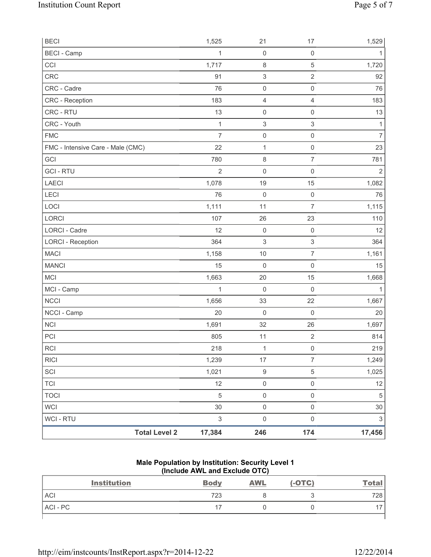| <b>BECI</b>                       | 1,525                     | 21                        | 17                        | 1,529          |
|-----------------------------------|---------------------------|---------------------------|---------------------------|----------------|
| <b>BECI - Camp</b>                | $\mathbf{1}$              | $\mathbf 0$               | $\mathsf 0$               | 1              |
| CCI                               | 1,717                     | $\,8\,$                   | $\sqrt{5}$                | 1,720          |
| <b>CRC</b>                        | 91                        | $\ensuremath{\mathsf{3}}$ | $\sqrt{2}$                | 92             |
| CRC - Cadre                       | 76                        | $\mathsf 0$               | $\mathsf 0$               | 76             |
| <b>CRC</b> - Reception            | 183                       | 4                         | $\overline{4}$            | 183            |
| CRC - RTU                         | 13                        | $\mathbf 0$               | $\mathsf 0$               | 13             |
| CRC - Youth                       | $\mathbf{1}$              | 3                         | $\sqrt{3}$                | $\mathbf{1}$   |
| <b>FMC</b>                        | $\overline{7}$            | $\mathsf{O}\xspace$       | $\mathsf 0$               | $\overline{7}$ |
| FMC - Intensive Care - Male (CMC) | 22                        | $\mathbf{1}$              | $\mathsf{O}\xspace$       | 23             |
| GCI                               | 780                       | $\,8\,$                   | $\overline{7}$            | 781            |
| <b>GCI-RTU</b>                    | $\overline{2}$            | $\mathbf 0$               | $\mathsf 0$               | $\overline{2}$ |
| LAECI                             | 1,078                     | 19                        | 15                        | 1,082          |
| LECI                              | 76                        | $\mathbf 0$               | $\mathsf 0$               | 76             |
| LOCI                              | 1,111                     | 11                        | $\overline{7}$            | 1,115          |
| <b>LORCI</b>                      | 107                       | 26                        | 23                        | 110            |
| <b>LORCI - Cadre</b>              | 12                        | $\mathbf 0$               | $\mathsf 0$               | 12             |
| <b>LORCI - Reception</b>          | 364                       | 3                         | $\ensuremath{\mathsf{3}}$ | 364            |
| <b>MACI</b>                       | 1,158                     | 10                        | $\overline{7}$            | 1,161          |
| <b>MANCI</b>                      | 15                        | $\mathbf 0$               | $\mathsf 0$               | 15             |
| <b>MCI</b>                        | 1,663                     | 20                        | 15                        | 1,668          |
| MCI - Camp                        | $\mathbf{1}$              | $\mathbf 0$               | $\mathsf 0$               | $\mathbf{1}$   |
| <b>NCCI</b>                       | 1,656                     | 33                        | 22                        | 1,667          |
| NCCI - Camp                       | 20                        | $\mathbf 0$               | $\mathbf 0$               | 20             |
| <b>NCI</b>                        | 1,691                     | 32                        | 26                        | 1,697          |
| PCI                               | 805                       | 11                        | $\sqrt{2}$                | 814            |
| <b>RCI</b>                        | 218                       | $\mathbf{1}$              | $\mathsf 0$               | 219            |
| <b>RICI</b>                       | 1,239                     | 17                        | $\overline{7}$            | 1,249          |
| SCI                               | 1,021                     | $\boldsymbol{9}$          | $\,$ 5 $\,$               | 1,025          |
| <b>TCI</b>                        | 12                        | $\mathsf{O}\xspace$       | $\mathsf 0$               | 12             |
| <b>TOCI</b>                       | $\,$ 5 $\,$               | $\mathsf 0$               | $\mathsf 0$               | $\,$ 5 $\,$    |
| <b>WCI</b>                        | 30                        | $\mathsf{O}\xspace$       | $\mathsf{O}\xspace$       | 30             |
| <b>WCI - RTU</b>                  | $\ensuremath{\mathsf{3}}$ | $\mathsf{O}\xspace$       | $\mathsf{O}\xspace$       | $\sqrt{3}$     |
| <b>Total Level 2</b>              | 17,384                    | 246                       | 174                       | 17,456         |

#### **Male Population by Institution: Security Level 1 (Include AWL and Exclude OTC)**

| <b>Institution</b> | <b>Body</b> | <b>AWL</b> | $(-OTC)$ | <u>Total</u> |
|--------------------|-------------|------------|----------|--------------|
| <b>ACI</b>         | 723         |            |          | 728          |
| ACI-PC             |             |            |          |              |
|                    |             |            |          |              |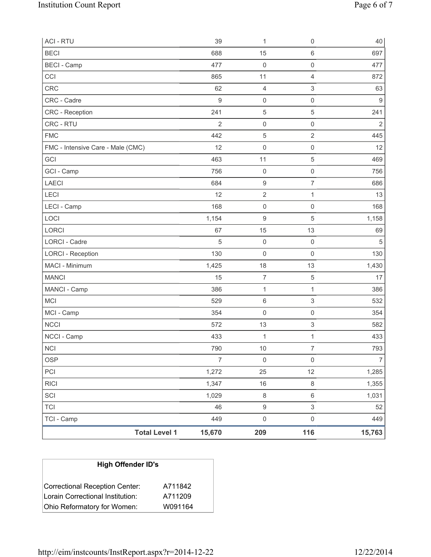| <b>ACI - RTU</b>                  | 39             | 1                   | $\mathbf 0$         | 40             |
|-----------------------------------|----------------|---------------------|---------------------|----------------|
| <b>BECI</b>                       | 688            | 15                  | $\,6\,$             | 697            |
| <b>BECI</b> - Camp                | 477            | 0                   | 0                   | 477            |
| CCI                               | 865            | 11                  | $\overline{4}$      | 872            |
| <b>CRC</b>                        | 62             | 4                   | 3                   | 63             |
| CRC - Cadre                       | 9              | $\mathsf{O}\xspace$ | $\mathsf{O}\xspace$ | 9              |
| <b>CRC</b> - Reception            | 241            | $\sqrt{5}$          | $\mathbf 5$         | 241            |
| CRC - RTU                         | $\overline{2}$ | $\mathsf{O}\xspace$ | $\mathsf{O}\xspace$ | $\overline{2}$ |
| <b>FMC</b>                        | 442            | $\sqrt{5}$          | 2                   | 445            |
| FMC - Intensive Care - Male (CMC) | 12             | $\mathsf{O}\xspace$ | $\mathsf{O}\xspace$ | 12             |
| GCI                               | 463            | 11                  | 5                   | 469            |
| GCI - Camp                        | 756            | $\mathsf 0$         | $\mathsf{O}\xspace$ | 756            |
| <b>LAECI</b>                      | 684            | $\boldsymbol{9}$    | $\overline{7}$      | 686            |
| LECI                              | 12             | $\mathbf 2$         | 1                   | 13             |
| LECI - Camp                       | 168            | $\mathsf{O}\xspace$ | $\mathsf{O}\xspace$ | 168            |
| LOCI                              | 1,154          | 9                   | 5                   | 1,158          |
| LORCI                             | 67             | 15                  | 13                  | 69             |
| LORCI - Cadre                     | 5              | $\mathsf{O}\xspace$ | $\mathbf 0$         | $\sqrt{5}$     |
| <b>LORCI - Reception</b>          | 130            | $\mathsf{O}\xspace$ | $\mathbf 0$         | 130            |
| MACI - Minimum                    | 1,425          | 18                  | 13                  | 1,430          |
| <b>MANCI</b>                      | 15             | $\overline{7}$      | $\mathbf 5$         | 17             |
| MANCI - Camp                      | 386            | $\mathbf 1$         | $\mathbf{1}$        | 386            |
| MCI                               | 529            | $\,6\,$             | 3                   | 532            |
| MCI - Camp                        | 354            | $\mathsf{O}\xspace$ | $\mathsf{O}\xspace$ | 354            |
| <b>NCCI</b>                       | 572            | 13                  | 3                   | 582            |
| NCCI - Camp                       | 433            | $\mathbf{1}$        | $\mathbf{1}$        | 433            |
| <b>NCI</b>                        | 790            | 10                  | $\overline{7}$      | 793            |
| <b>OSP</b>                        | $\overline{7}$ | $\mathsf{O}\xspace$ | $\mathsf{O}\xspace$ | $\overline{7}$ |
| PCI                               | 1,272          | 25                  | 12                  | 1,285          |
| <b>RICI</b>                       | 1,347          | $16\,$              | $\,8\,$             | 1,355          |
| SCI                               | 1,029          | 8                   | $\,6\,$             | 1,031          |
| <b>TCI</b>                        | 46             | $\mathsf g$         | 3                   | 52             |
| TCI - Camp                        | 449            | $\mathsf{O}\xspace$ | $\mathsf{O}\xspace$ | 449            |
| <b>Total Level 1</b>              | 15,670         | 209                 | 116                 | 15,763         |

| <b>High Offender ID's</b>        |         |
|----------------------------------|---------|
| Correctional Reception Center:   | A711842 |
| Lorain Correctional Institution: | A711209 |
| Ohio Reformatory for Women:      | W091164 |